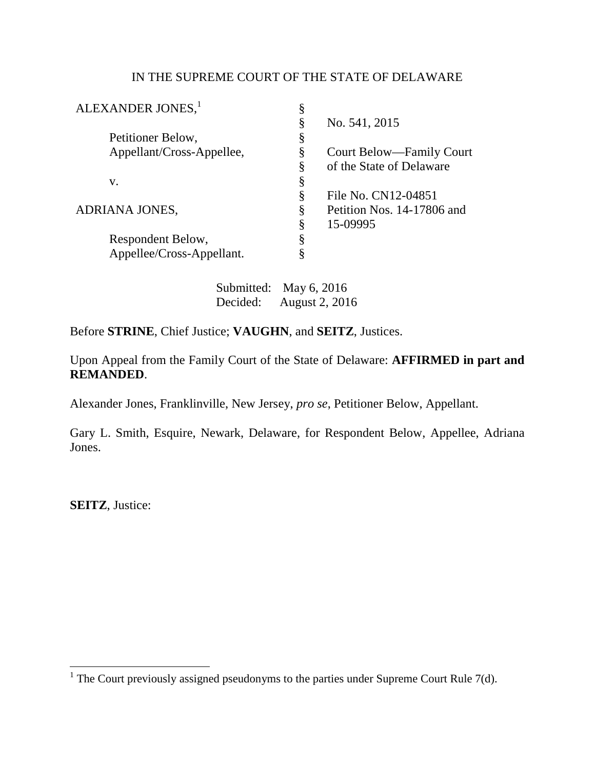# IN THE SUPREME COURT OF THE STATE OF DELAWARE

| ALEXANDER JONES, <sup>1</sup> | §  |                            |
|-------------------------------|----|----------------------------|
|                               | §  | No. 541, 2015              |
| Petitioner Below,             | §  |                            |
| Appellant/Cross-Appellee,     | §  | Court Below—Family Court   |
|                               | Ş  | of the State of Delaware   |
| V.                            | §  |                            |
|                               | Ş  | File No. CN12-04851        |
| ADRIANA JONES,                | §  | Petition Nos. 14-17806 and |
|                               | §  | 15-09995                   |
| Respondent Below,             | §  |                            |
| Appellee/Cross-Appellant.     | \$ |                            |
|                               |    |                            |

 Submitted: May 6, 2016 Decided: August 2, 2016

Before **STRINE**, Chief Justice; **VAUGHN**, and **SEITZ**, Justices.

Upon Appeal from the Family Court of the State of Delaware: **AFFIRMED in part and REMANDED**.

Alexander Jones, Franklinville, New Jersey, *pro se*, Petitioner Below, Appellant.

Gary L. Smith, Esquire, Newark, Delaware, for Respondent Below, Appellee, Adriana Jones.

**SEITZ**, Justice:

The Court previously assigned pseudonyms to the parties under Supreme Court Rule 7(d).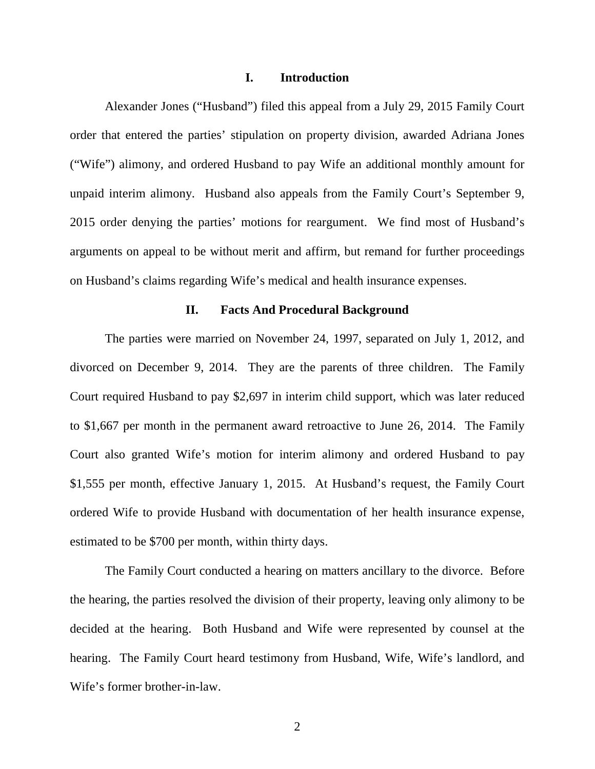#### **I. Introduction**

Alexander Jones ("Husband") filed this appeal from a July 29, 2015 Family Court order that entered the parties' stipulation on property division, awarded Adriana Jones ("Wife") alimony, and ordered Husband to pay Wife an additional monthly amount for unpaid interim alimony. Husband also appeals from the Family Court's September 9, 2015 order denying the parties' motions for reargument. We find most of Husband's arguments on appeal to be without merit and affirm, but remand for further proceedings on Husband's claims regarding Wife's medical and health insurance expenses.

#### **II. Facts And Procedural Background**

The parties were married on November 24, 1997, separated on July 1, 2012, and divorced on December 9, 2014. They are the parents of three children. The Family Court required Husband to pay \$2,697 in interim child support, which was later reduced to \$1,667 per month in the permanent award retroactive to June 26, 2014. The Family Court also granted Wife's motion for interim alimony and ordered Husband to pay \$1,555 per month, effective January 1, 2015. At Husband's request, the Family Court ordered Wife to provide Husband with documentation of her health insurance expense, estimated to be \$700 per month, within thirty days.

The Family Court conducted a hearing on matters ancillary to the divorce. Before the hearing, the parties resolved the division of their property, leaving only alimony to be decided at the hearing. Both Husband and Wife were represented by counsel at the hearing. The Family Court heard testimony from Husband, Wife, Wife's landlord, and Wife's former brother-in-law.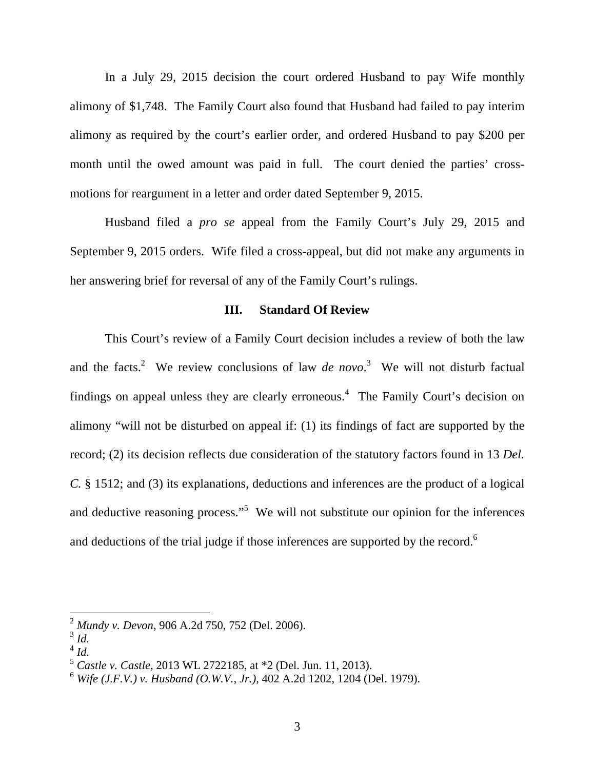In a July 29, 2015 decision the court ordered Husband to pay Wife monthly alimony of \$1,748. The Family Court also found that Husband had failed to pay interim alimony as required by the court's earlier order, and ordered Husband to pay \$200 per month until the owed amount was paid in full. The court denied the parties' crossmotions for reargument in a letter and order dated September 9, 2015.

Husband filed a *pro se* appeal from the Family Court's July 29, 2015 and September 9, 2015 orders. Wife filed a cross-appeal, but did not make any arguments in her answering brief for reversal of any of the Family Court's rulings.

#### **III. Standard Of Review**

This Court's review of a Family Court decision includes a review of both the law and the facts.<sup>2</sup> We review conclusions of law *de novo*.<sup>3</sup> We will not disturb factual findings on appeal unless they are clearly erroneous.<sup>4</sup> The Family Court's decision on alimony "will not be disturbed on appeal if: (1) its findings of fact are supported by the record; (2) its decision reflects due consideration of the statutory factors found in 13 *Del. C.* § 1512; and (3) its explanations, deductions and inferences are the product of a logical and deductive reasoning process."<sup>5</sup> We will not substitute our opinion for the inferences and deductions of the trial judge if those inferences are supported by the record.<sup>6</sup>

<sup>2</sup> *Mundy v. Devon*, 906 A.2d 750, 752 (Del. 2006).

<sup>3</sup> *Id.*

<sup>4</sup> *Id.*

<sup>5</sup> *Castle v. Castle*, 2013 WL 2722185, at \*2 (Del. Jun. 11, 2013).

<sup>6</sup> *Wife (J.F.V.) v. Husband (O.W.V., Jr.)*, 402 A.2d 1202, 1204 (Del. 1979).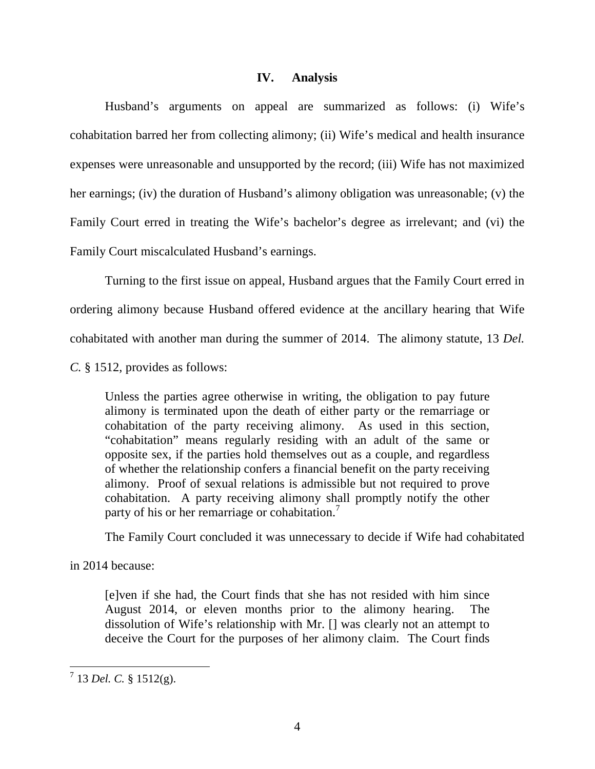## **IV. Analysis**

Husband's arguments on appeal are summarized as follows: (i) Wife's cohabitation barred her from collecting alimony; (ii) Wife's medical and health insurance expenses were unreasonable and unsupported by the record; (iii) Wife has not maximized her earnings; (iv) the duration of Husband's alimony obligation was unreasonable; (v) the Family Court erred in treating the Wife's bachelor's degree as irrelevant; and (vi) the Family Court miscalculated Husband's earnings.

Turning to the first issue on appeal, Husband argues that the Family Court erred in ordering alimony because Husband offered evidence at the ancillary hearing that Wife cohabitated with another man during the summer of 2014. The alimony statute, 13 *Del. C.* § 1512, provides as follows:

Unless the parties agree otherwise in writing, the obligation to pay future alimony is terminated upon the death of either party or the remarriage or cohabitation of the party receiving alimony. As used in this section, "cohabitation" means regularly residing with an adult of the same or opposite sex, if the parties hold themselves out as a couple, and regardless of whether the relationship confers a financial benefit on the party receiving alimony. Proof of sexual relations is admissible but not required to prove cohabitation. A party receiving alimony shall promptly notify the other party of his or her remarriage or cohabitation.<sup>7</sup>

The Family Court concluded it was unnecessary to decide if Wife had cohabitated

in 2014 because:

[e]ven if she had, the Court finds that she has not resided with him since August 2014, or eleven months prior to the alimony hearing. The dissolution of Wife's relationship with Mr. [] was clearly not an attempt to deceive the Court for the purposes of her alimony claim. The Court finds

 7 13 *Del. C.* § 1512(g).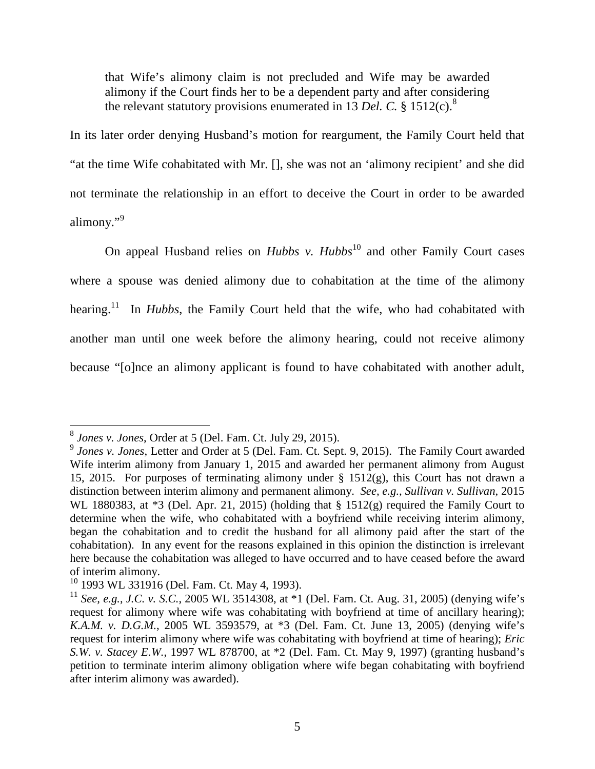that Wife's alimony claim is not precluded and Wife may be awarded alimony if the Court finds her to be a dependent party and after considering the relevant statutory provisions enumerated in 13 *Del. C.* § 1512(c).<sup>8</sup>

In its later order denying Husband's motion for reargument, the Family Court held that "at the time Wife cohabitated with Mr. [], she was not an 'alimony recipient' and she did not terminate the relationship in an effort to deceive the Court in order to be awarded alimony."<sup>9</sup>

On appeal Husband relies on *Hubbs v. Hubbs*<sup>10</sup> and other Family Court cases where a spouse was denied alimony due to cohabitation at the time of the alimony hearing.<sup>11</sup> In *Hubbs*, the Family Court held that the wife, who had cohabitated with another man until one week before the alimony hearing, could not receive alimony because "[o]nce an alimony applicant is found to have cohabitated with another adult,

 8 *Jones v. Jones*, Order at 5 (Del. Fam. Ct. July 29, 2015).

<sup>9</sup> *Jones v. Jones*, Letter and Order at 5 (Del. Fam. Ct. Sept. 9, 2015). The Family Court awarded Wife interim alimony from January 1, 2015 and awarded her permanent alimony from August 15, 2015. For purposes of terminating alimony under  $\S$  1512(g), this Court has not drawn a distinction between interim alimony and permanent alimony. *See, e.g.*, *Sullivan v. Sullivan*, 2015 WL 1880383, at  $*3$  (Del. Apr. 21, 2015) (holding that § 1512(g) required the Family Court to determine when the wife, who cohabitated with a boyfriend while receiving interim alimony, began the cohabitation and to credit the husband for all alimony paid after the start of the cohabitation). In any event for the reasons explained in this opinion the distinction is irrelevant here because the cohabitation was alleged to have occurred and to have ceased before the award of interim alimony.

<sup>10</sup> 1993 WL 331916 (Del. Fam. Ct. May 4, 1993).

<sup>11</sup> *See, e.g.*, *J.C. v. S.C.*, 2005 WL 3514308, at \*1 (Del. Fam. Ct. Aug. 31, 2005) (denying wife's request for alimony where wife was cohabitating with boyfriend at time of ancillary hearing); *K.A.M. v. D.G.M.*, 2005 WL 3593579, at \*3 (Del. Fam. Ct. June 13, 2005) (denying wife's request for interim alimony where wife was cohabitating with boyfriend at time of hearing); *Eric S.W. v. Stacey E.W.*, 1997 WL 878700, at \*2 (Del. Fam. Ct. May 9, 1997) (granting husband's petition to terminate interim alimony obligation where wife began cohabitating with boyfriend after interim alimony was awarded).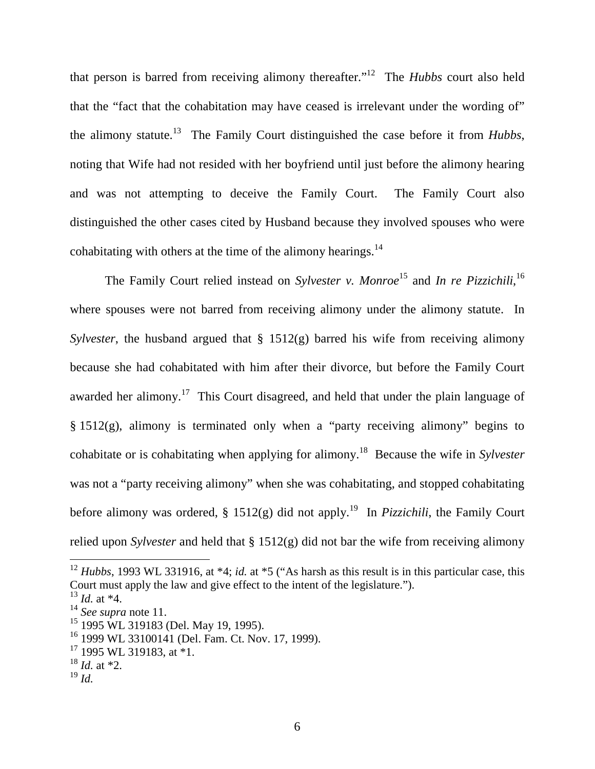that person is barred from receiving alimony thereafter."<sup>12</sup> The *Hubbs* court also held that the "fact that the cohabitation may have ceased is irrelevant under the wording of" the alimony statute.<sup>13</sup> The Family Court distinguished the case before it from *Hubbs*, noting that Wife had not resided with her boyfriend until just before the alimony hearing and was not attempting to deceive the Family Court. The Family Court also distinguished the other cases cited by Husband because they involved spouses who were cohabitating with others at the time of the alimony hearings. $14$ 

The Family Court relied instead on *Sylvester v. Monroe*<sup>15</sup> and *In re Pizzichili*,<sup>16</sup> where spouses were not barred from receiving alimony under the alimony statute. In *Sylvester*, the husband argued that § 1512(g) barred his wife from receiving alimony because she had cohabitated with him after their divorce, but before the Family Court awarded her alimony.<sup>17</sup> This Court disagreed, and held that under the plain language of § 1512(g), alimony is terminated only when a "party receiving alimony" begins to cohabitate or is cohabitating when applying for alimony. <sup>18</sup> Because the wife in *Sylvester*  was not a "party receiving alimony" when she was cohabitating, and stopped cohabitating before alimony was ordered, § 1512(g) did not apply. <sup>19</sup> In *Pizzichili*, the Family Court relied upon *Sylvester* and held that § 1512(g) did not bar the wife from receiving alimony

-

<sup>12</sup> *Hubbs*, 1993 WL 331916, at \*4; *id.* at \*5 ("As harsh as this result is in this particular case, this Court must apply the law and give effect to the intent of the legislature.").

 $^{13}$  *Id.* at  $*4$ .

<sup>14</sup> *See supra* note 11.

<sup>&</sup>lt;sup>15</sup> 1995 WL 319183 (Del. May 19, 1995).

<sup>16</sup> 1999 WL 33100141 (Del. Fam. Ct. Nov. 17, 1999).

<sup>&</sup>lt;sup>17</sup> 1995 WL 319183, at \*1.

 $18$  *Id.* at  $*2$ .

<sup>19</sup> *Id.*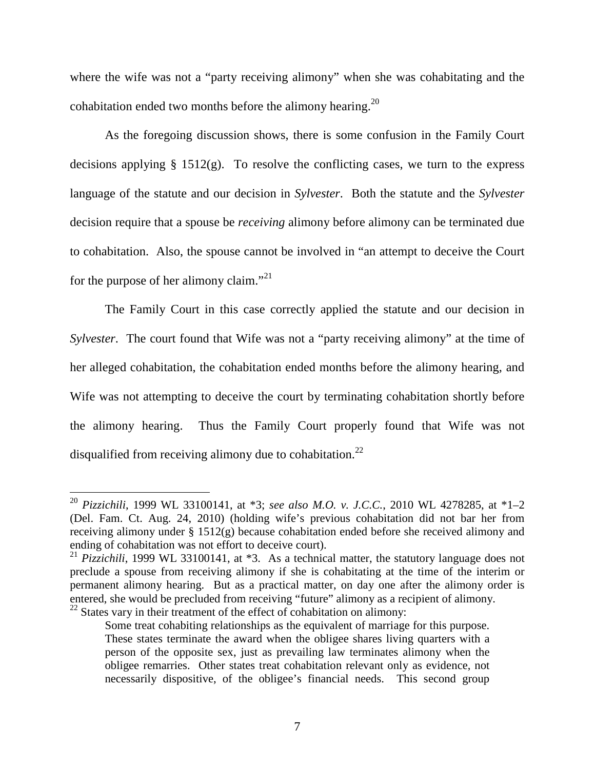where the wife was not a "party receiving alimony" when she was cohabitating and the cohabitation ended two months before the alimony hearing.<sup>20</sup>

As the foregoing discussion shows, there is some confusion in the Family Court decisions applying  $\S$  1512(g). To resolve the conflicting cases, we turn to the express language of the statute and our decision in *Sylvester*. Both the statute and the *Sylvester* decision require that a spouse be *receiving* alimony before alimony can be terminated due to cohabitation. Also, the spouse cannot be involved in "an attempt to deceive the Court for the purpose of her alimony claim."<sup>21</sup>

The Family Court in this case correctly applied the statute and our decision in *Sylvester*. The court found that Wife was not a "party receiving alimony" at the time of her alleged cohabitation, the cohabitation ended months before the alimony hearing, and Wife was not attempting to deceive the court by terminating cohabitation shortly before the alimony hearing. Thus the Family Court properly found that Wife was not disqualified from receiving alimony due to cohabitation.<sup>22</sup>

-

<sup>20</sup> *Pizzichili*, 1999 WL 33100141, at \*3; *see also M.O. v. J.C.C.*, 2010 WL 4278285, at \*1–2 (Del. Fam. Ct. Aug. 24, 2010) (holding wife's previous cohabitation did not bar her from receiving alimony under § 1512(g) because cohabitation ended before she received alimony and ending of cohabitation was not effort to deceive court).

<sup>&</sup>lt;sup>21</sup> *Pizzichili*, 1999 WL 33100141, at \*3. As a technical matter, the statutory language does not preclude a spouse from receiving alimony if she is cohabitating at the time of the interim or permanent alimony hearing. But as a practical matter, on day one after the alimony order is entered, she would be precluded from receiving "future" alimony as a recipient of alimony.  $22$  States vary in their treatment of the effect of cohabitation on alimony:

Some treat cohabiting relationships as the equivalent of marriage for this purpose. These states terminate the award when the obligee shares living quarters with a person of the opposite sex, just as prevailing law terminates alimony when the obligee remarries. Other states treat cohabitation relevant only as evidence, not necessarily dispositive, of the obligee's financial needs. This second group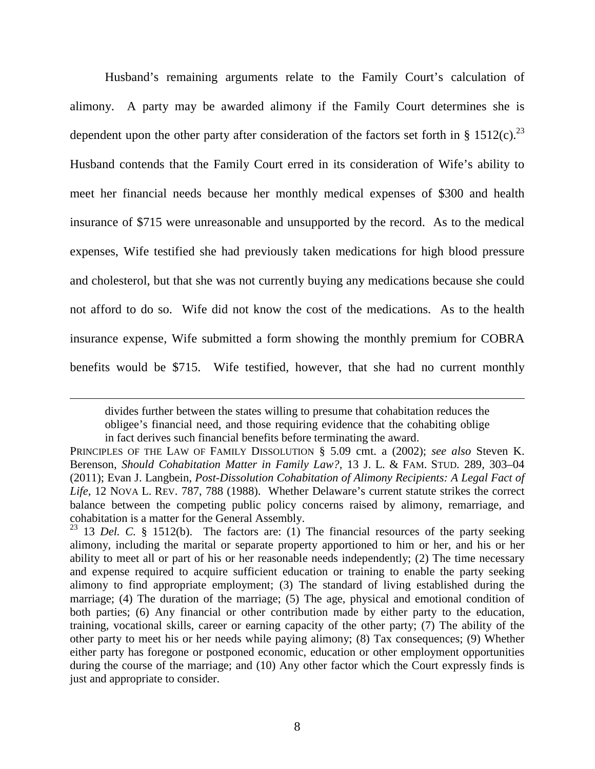Husband's remaining arguments relate to the Family Court's calculation of alimony. A party may be awarded alimony if the Family Court determines she is dependent upon the other party after consideration of the factors set forth in § 1512(c).<sup>23</sup> Husband contends that the Family Court erred in its consideration of Wife's ability to meet her financial needs because her monthly medical expenses of \$300 and health insurance of \$715 were unreasonable and unsupported by the record. As to the medical expenses, Wife testified she had previously taken medications for high blood pressure and cholesterol, but that she was not currently buying any medications because she could not afford to do so. Wife did not know the cost of the medications. As to the health insurance expense, Wife submitted a form showing the monthly premium for COBRA benefits would be \$715. Wife testified, however, that she had no current monthly

divides further between the states willing to presume that cohabitation reduces the obligee's financial need, and those requiring evidence that the cohabiting oblige in fact derives such financial benefits before terminating the award.

PRINCIPLES OF THE LAW OF FAMILY DISSOLUTION § 5.09 cmt. a (2002); *see also* Steven K. Berenson, *Should Cohabitation Matter in Family Law?*, 13 J. L. & FAM. STUD. 289, 303–04 (2011); Evan J. Langbein, *Post-Dissolution Cohabitation of Alimony Recipients: A Legal Fact of Life*, 12 NOVA L. REV. 787, 788 (1988). Whether Delaware's current statute strikes the correct balance between the competing public policy concerns raised by alimony, remarriage, and cohabitation is a matter for the General Assembly.

 $23$  13 *Del. C.* § 1512(b). The factors are: (1) The financial resources of the party seeking alimony, including the marital or separate property apportioned to him or her, and his or her ability to meet all or part of his or her reasonable needs independently; (2) The time necessary and expense required to acquire sufficient education or training to enable the party seeking alimony to find appropriate employment; (3) The standard of living established during the marriage; (4) The duration of the marriage; (5) The age, physical and emotional condition of both parties; (6) Any financial or other contribution made by either party to the education, training, vocational skills, career or earning capacity of the other party; (7) The ability of the other party to meet his or her needs while paying alimony; (8) Tax consequences; (9) Whether either party has foregone or postponed economic, education or other employment opportunities during the course of the marriage; and (10) Any other factor which the Court expressly finds is just and appropriate to consider.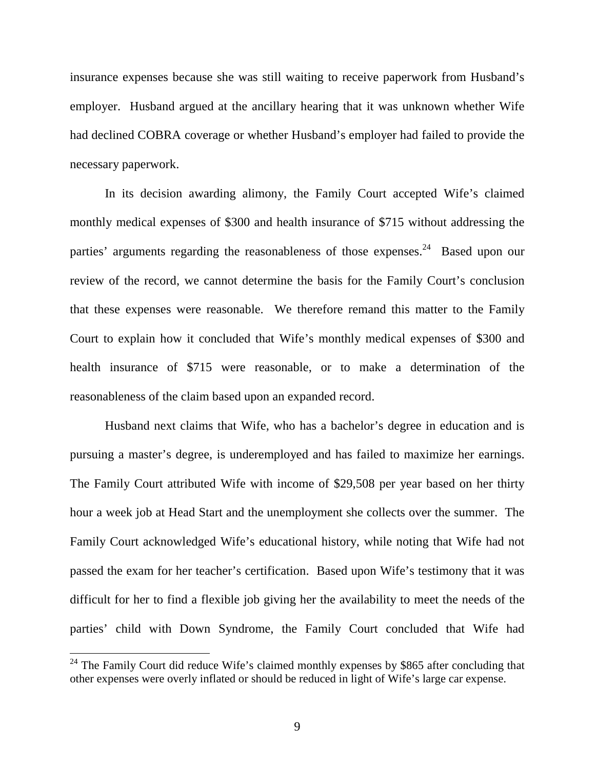insurance expenses because she was still waiting to receive paperwork from Husband's employer. Husband argued at the ancillary hearing that it was unknown whether Wife had declined COBRA coverage or whether Husband's employer had failed to provide the necessary paperwork.

In its decision awarding alimony, the Family Court accepted Wife's claimed monthly medical expenses of \$300 and health insurance of \$715 without addressing the parties' arguments regarding the reasonableness of those expenses.<sup>24</sup> Based upon our review of the record, we cannot determine the basis for the Family Court's conclusion that these expenses were reasonable. We therefore remand this matter to the Family Court to explain how it concluded that Wife's monthly medical expenses of \$300 and health insurance of \$715 were reasonable, or to make a determination of the reasonableness of the claim based upon an expanded record.

Husband next claims that Wife, who has a bachelor's degree in education and is pursuing a master's degree, is underemployed and has failed to maximize her earnings. The Family Court attributed Wife with income of \$29,508 per year based on her thirty hour a week job at Head Start and the unemployment she collects over the summer. The Family Court acknowledged Wife's educational history, while noting that Wife had not passed the exam for her teacher's certification. Based upon Wife's testimony that it was difficult for her to find a flexible job giving her the availability to meet the needs of the parties' child with Down Syndrome, the Family Court concluded that Wife had

<sup>&</sup>lt;sup>24</sup> The Family Court did reduce Wife's claimed monthly expenses by \$865 after concluding that other expenses were overly inflated or should be reduced in light of Wife's large car expense.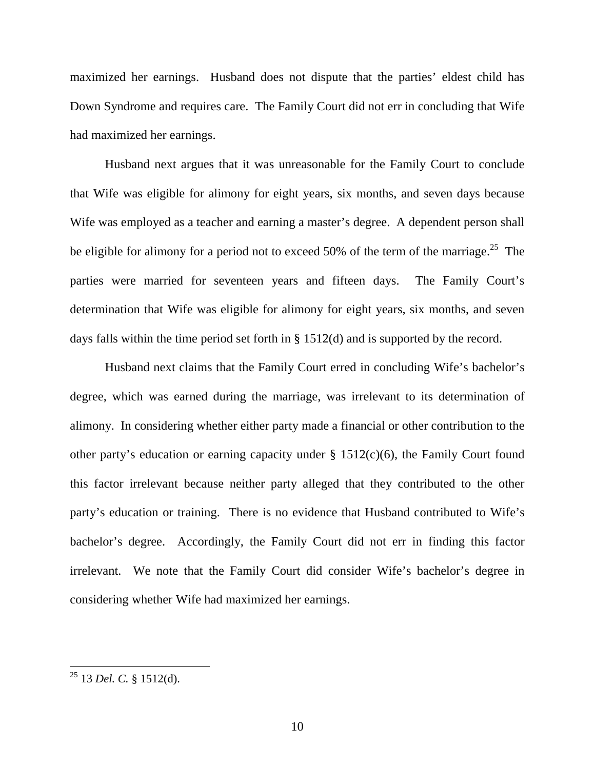maximized her earnings. Husband does not dispute that the parties' eldest child has Down Syndrome and requires care. The Family Court did not err in concluding that Wife had maximized her earnings.

Husband next argues that it was unreasonable for the Family Court to conclude that Wife was eligible for alimony for eight years, six months, and seven days because Wife was employed as a teacher and earning a master's degree. A dependent person shall be eligible for alimony for a period not to exceed 50% of the term of the marriage.<sup>25</sup> The parties were married for seventeen years and fifteen days. The Family Court's determination that Wife was eligible for alimony for eight years, six months, and seven days falls within the time period set forth in § 1512(d) and is supported by the record.

Husband next claims that the Family Court erred in concluding Wife's bachelor's degree, which was earned during the marriage, was irrelevant to its determination of alimony. In considering whether either party made a financial or other contribution to the other party's education or earning capacity under § 1512(c)(6), the Family Court found this factor irrelevant because neither party alleged that they contributed to the other party's education or training. There is no evidence that Husband contributed to Wife's bachelor's degree. Accordingly, the Family Court did not err in finding this factor irrelevant. We note that the Family Court did consider Wife's bachelor's degree in considering whether Wife had maximized her earnings.

<sup>25</sup> 13 *Del. C.* § 1512(d).